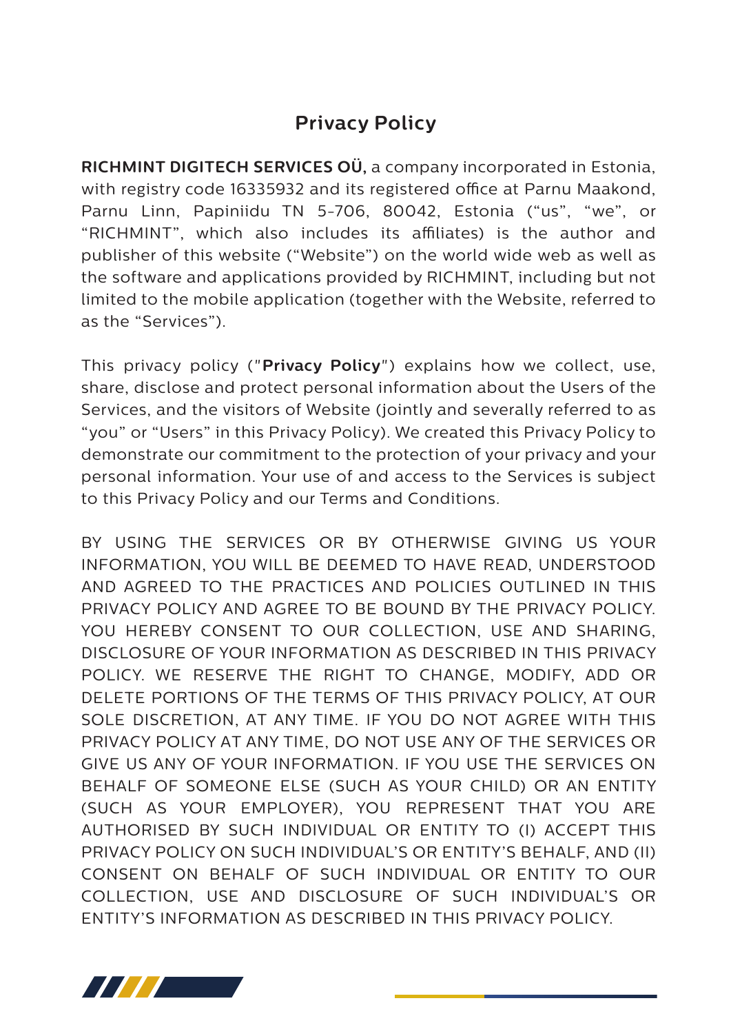# **Privacy Policy**

**RICHMINT DIGITECH SERVICES OÜ,** a company incorporated in Estonia, with registry code 16335932 and its registered office at Parnu Maakond, Parnu Linn, Papiniidu TN 5-706, 80042, Estonia ("us", "we", or "RICHMINT", which also includes its affiliates) is the author and publisher of this website ("Website") on the world wide web as well as the software and applications provided by RICHMINT, including but not limited to the mobile application (together with the Website, referred to as the "Services").

This privacy policy ("**Privacy Policy**") explains how we collect, use, share, disclose and protect personal information about the Users of the Services, and the visitors of Website (jointly and severally referred to as "you" or "Users" in this Privacy Policy). We created this Privacy Policy to demonstrate our commitment to the protection of your privacy and your personal information. Your use of and access to the Services is subject to this Privacy Policy and our Terms and Conditions.

BY USING THE SERVICES OR BY OTHERWISE GIVING US YOUR INFORMATION, YOU WILL BE DEEMED TO HAVE READ, UNDERSTOOD AND AGREED TO THE PRACTICES AND POLICIES OUTLINED IN THIS PRIVACY POLICY AND AGREE TO BE BOUND BY THE PRIVACY POLICY. YOU HEREBY CONSENT TO OUR COLLECTION, USE AND SHARING, DISCLOSURE OF YOUR INFORMATION AS DESCRIBED IN THIS PRIVACY POLICY. WE RESERVE THE RIGHT TO CHANGE, MODIFY, ADD OR DELETE PORTIONS OF THE TERMS OF THIS PRIVACY POLICY, AT OUR SOLE DISCRETION, AT ANY TIME. IF YOU DO NOT AGREE WITH THIS PRIVACY POLICY AT ANY TIME, DO NOT USE ANY OF THE SERVICES OR GIVE US ANY OF YOUR INFORMATION. IF YOU USE THE SERVICES ON BEHALF OF SOMEONE ELSE (SUCH AS YOUR CHILD) OR AN ENTITY (SUCH AS YOUR EMPLOYER), YOU REPRESENT THAT YOU ARE AUTHORISED BY SUCH INDIVIDUAL OR ENTITY TO (I) ACCEPT THIS PRIVACY POLICY ON SUCH INDIVIDUAL'S OR ENTITY'S BEHALF, AND (II) CONSENT ON BEHALF OF SUCH INDIVIDUAL OR ENTITY TO OUR COLLECTION, USE AND DISCLOSURE OF SUCH INDIVIDUAL'S OR ENTITY'S INFORMATION AS DESCRIBED IN THIS PRIVACY POLICY.

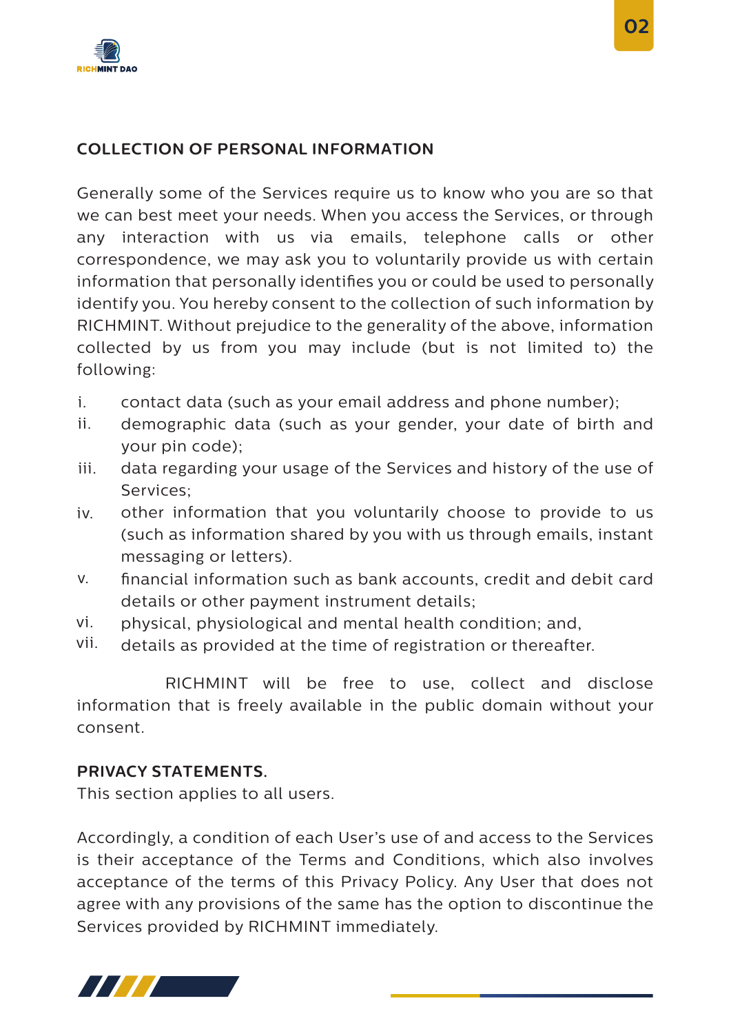

# **COLLECTION OF PERSONAL INFORMATION**

Generally some of the Services require us to know who you are so that we can best meet your needs. When you access the Services, or through any interaction with us via emails, telephone calls or other correspondence, we may ask you to voluntarily provide us with certain information that personally identifies you or could be used to personally identify you. You hereby consent to the collection of such information by RICHMINT. Without prejudice to the generality of the above, information collected by us from you may include (but is not limited to) the following:

- contact data (such as your email address and phone number); i.
- demographic data (such as your gender, your date of birth and your pin code); ii.
- data regarding your usage of the Services and history of the use of Services; iii.
- other information that you voluntarily choose to provide to us (such as information shared by you with us through emails, instant messaging or letters). iv.
- nancial information such as bank accounts, credit and debit card details or other payment instrument details; v.
- physical, physiological and mental health condition; and, vi.
- details as provided at the time of registration or thereafter. vii.

 RICHMINT will be free to use, collect and disclose information that is freely available in the public domain without your consent.

### **PRIVACY STATEMENTS.**

This section applies to all users.

Accordingly, a condition of each User's use of and access to the Services is their acceptance of the Terms and Conditions, which also involves acceptance of the terms of this Privacy Policy. Any User that does not agree with any provisions of the same has the option to discontinue the Services provided by RICHMINT immediately.

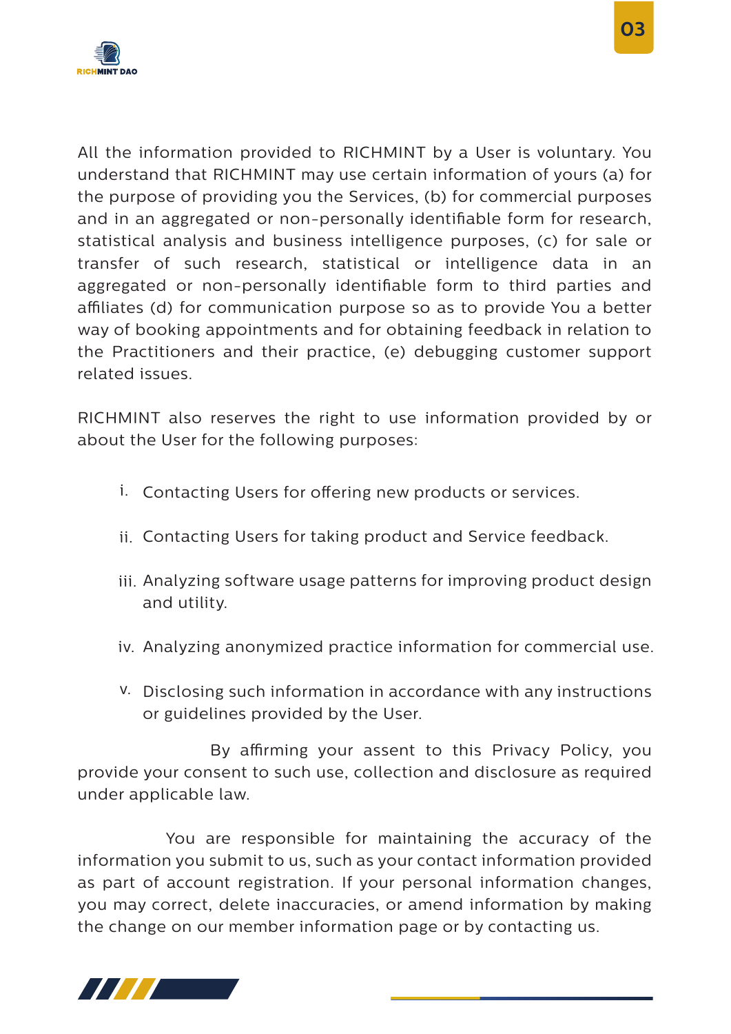

All the information provided to RICHMINT by a User is voluntary. You understand that RICHMINT may use certain information of yours (a) for the purpose of providing you the Services, (b) for commercial purposes and in an aggregated or non-personally identifiable form for research, statistical analysis and business intelligence purposes, (c) for sale or transfer of such research, statistical or intelligence data in an aggregated or non-personally identifiable form to third parties and affiliates (d) for communication purpose so as to provide You a better way of booking appointments and for obtaining feedback in relation to the Practitioners and their practice, (e) debugging customer support related issues.

RICHMINT also reserves the right to use information provided by or about the User for the following purposes:

- i. Contacting Users for offering new products or services.
- ii. Contacting Users for taking product and Service feedback.
- iii. Analyzing software usage patterns for improving product design and utility.
- iv. Analyzing anonymized practice information for commercial use.
- v. Disclosing such information in accordance with any instructions or guidelines provided by the User.

By affirming your assent to this Privacy Policy, you provide your consent to such use, collection and disclosure as required under applicable law.

 You are responsible for maintaining the accuracy of the information you submit to us, such as your contact information provided as part of account registration. If your personal information changes, you may correct, delete inaccuracies, or amend information by making the change on our member information page or by contacting us.

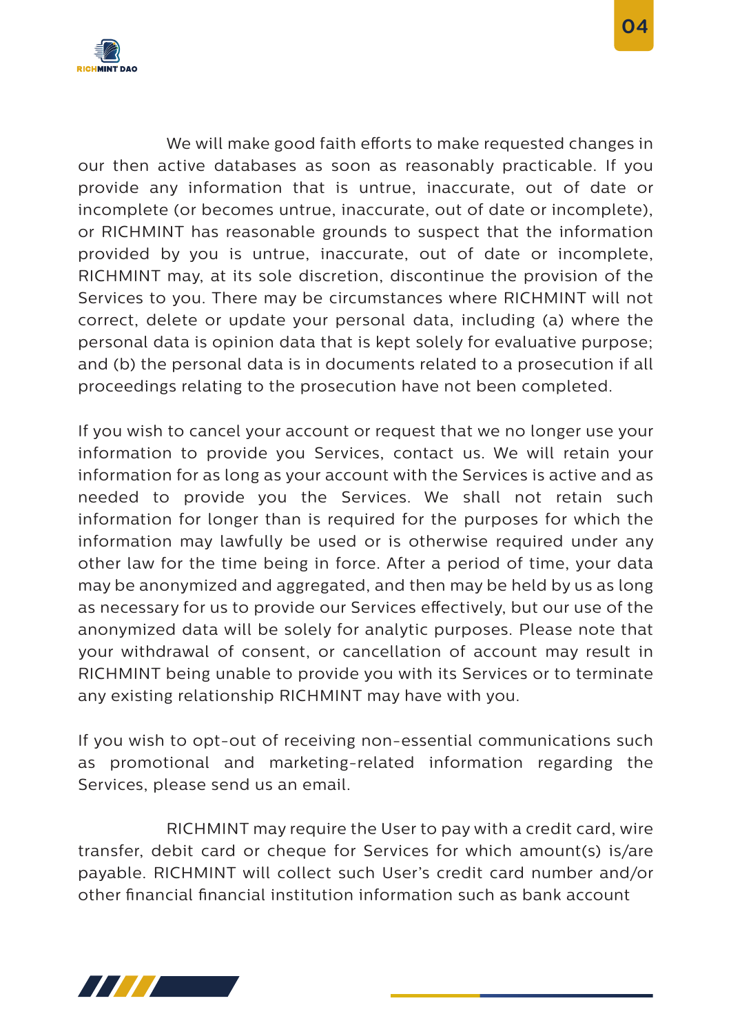

We will make good faith efforts to make requested changes in our then active databases as soon as reasonably practicable. If you provide any information that is untrue, inaccurate, out of date or incomplete (or becomes untrue, inaccurate, out of date or incomplete), or RICHMINT has reasonable grounds to suspect that the information provided by you is untrue, inaccurate, out of date or incomplete, RICHMINT may, at its sole discretion, discontinue the provision of the Services to you. There may be circumstances where RICHMINT will not correct, delete or update your personal data, including (a) where the personal data is opinion data that is kept solely for evaluative purpose; and (b) the personal data is in documents related to a prosecution if all proceedings relating to the prosecution have not been completed.

If you wish to cancel your account or request that we no longer use your information to provide you Services, contact us. We will retain your information for as long as your account with the Services is active and as needed to provide you the Services. We shall not retain such information for longer than is required for the purposes for which the information may lawfully be used or is otherwise required under any other law for the time being in force. After a period of time, your data may be anonymized and aggregated, and then may be held by us as long as necessary for us to provide our Services effectively, but our use of the anonymized data will be solely for analytic purposes. Please note that your withdrawal of consent, or cancellation of account may result in RICHMINT being unable to provide you with its Services or to terminate any existing relationship RICHMINT may have with you.

If you wish to opt-out of receiving non-essential communications such as promotional and marketing-related information regarding the Services, please send us an email.

 RICHMINT may require the User to pay with a credit card, wire transfer, debit card or cheque for Services for which amount(s) is/are payable. RICHMINT will collect such User's credit card number and/or other nancial nancial institution information such as bank account

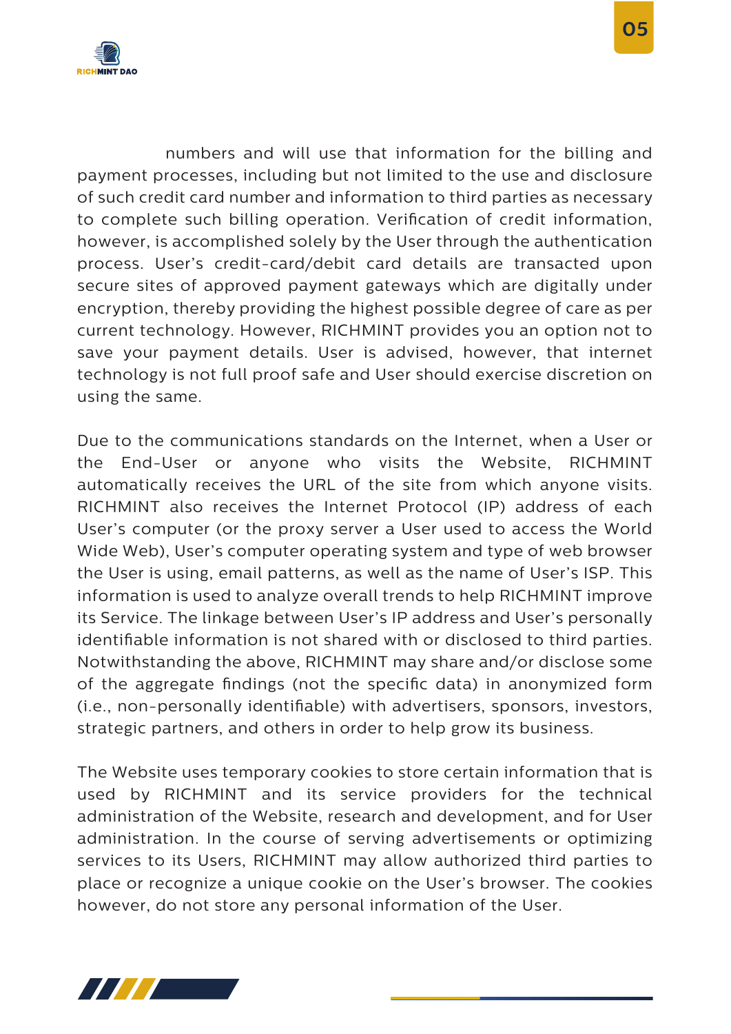

 numbers and will use that information for the billing and payment processes, including but not limited to the use and disclosure of such credit card number and information to third parties as necessary to complete such billing operation. Verification of credit information, however, is accomplished solely by the User through the authentication process. User's credit-card/debit card details are transacted upon secure sites of approved payment gateways which are digitally under encryption, thereby providing the highest possible degree of care as per current technology. However, RICHMINT provides you an option not to save your payment details. User is advised, however, that internet technology is not full proof safe and User should exercise discretion on using the same.

Due to the communications standards on the Internet, when a User or the End-User or anyone who visits the Website, RICHMINT automatically receives the URL of the site from which anyone visits. RICHMINT also receives the Internet Protocol (IP) address of each User's computer (or the proxy server a User used to access the World Wide Web), User's computer operating system and type of web browser the User is using, email patterns, as well as the name of User's ISP. This information is used to analyze overall trends to help RICHMINT improve its Service. The linkage between User's IP address and User's personally identifiable information is not shared with or disclosed to third parties. Notwithstanding the above, RICHMINT may share and/or disclose some of the aggregate findings (not the specific data) in anonymized form (i.e., non-personally identifiable) with advertisers, sponsors, investors, strategic partners, and others in order to help grow its business.

The Website uses temporary cookies to store certain information that is used by RICHMINT and its service providers for the technical administration of the Website, research and development, and for User administration. In the course of serving advertisements or optimizing services to its Users, RICHMINT may allow authorized third parties to place or recognize a unique cookie on the User's browser. The cookies however, do not store any personal information of the User.

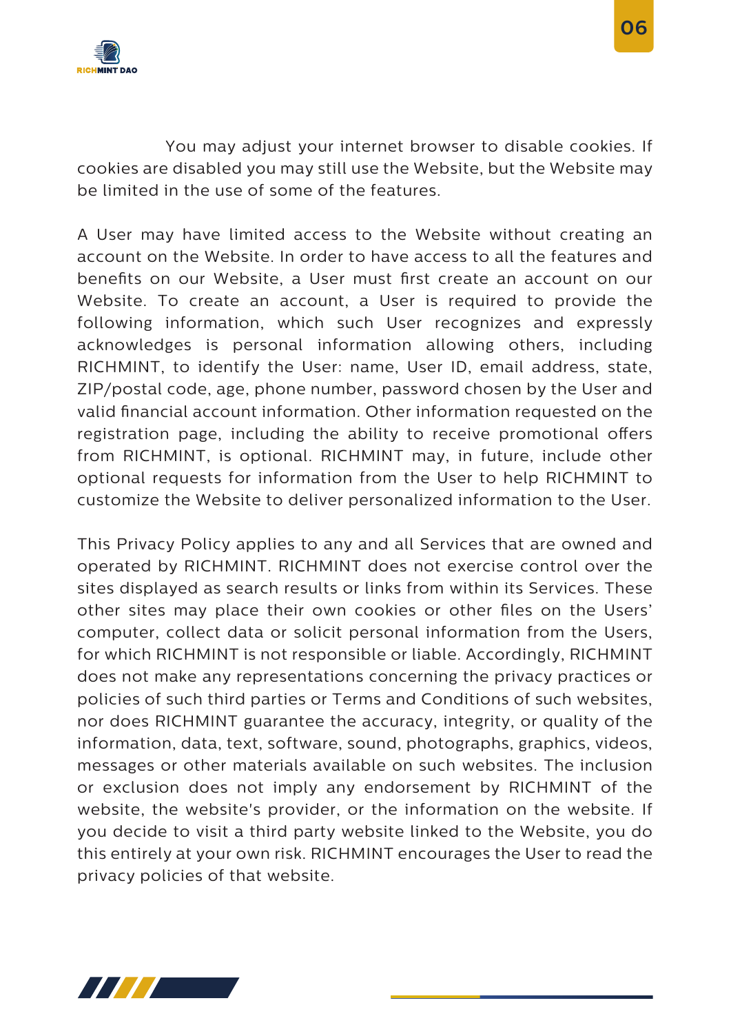

 You may adjust your internet browser to disable cookies. If cookies are disabled you may still use the Website, but the Website may be limited in the use of some of the features.

A User may have limited access to the Website without creating an account on the Website. In order to have access to all the features and benefits on our Website, a User must first create an account on our Website. To create an account, a User is required to provide the following information, which such User recognizes and expressly acknowledges is personal information allowing others, including RICHMINT, to identify the User: name, User ID, email address, state, ZIP/postal code, age, phone number, password chosen by the User and valid financial account information. Other information requested on the registration page, including the ability to receive promotional offers from RICHMINT, is optional. RICHMINT may, in future, include other optional requests for information from the User to help RICHMINT to customize the Website to deliver personalized information to the User.

This Privacy Policy applies to any and all Services that are owned and operated by RICHMINT. RICHMINT does not exercise control over the sites displayed as search results or links from within its Services. These other sites may place their own cookies or other files on the Users' computer, collect data or solicit personal information from the Users, for which RICHMINT is not responsible or liable. Accordingly, RICHMINT does not make any representations concerning the privacy practices or policies of such third parties or Terms and Conditions of such websites, nor does RICHMINT guarantee the accuracy, integrity, or quality of the information, data, text, software, sound, photographs, graphics, videos, messages or other materials available on such websites. The inclusion or exclusion does not imply any endorsement by RICHMINT of the website, the website's provider, or the information on the website. If you decide to visit a third party website linked to the Website, you do this entirely at your own risk. RICHMINT encourages the User to read the privacy policies of that website.

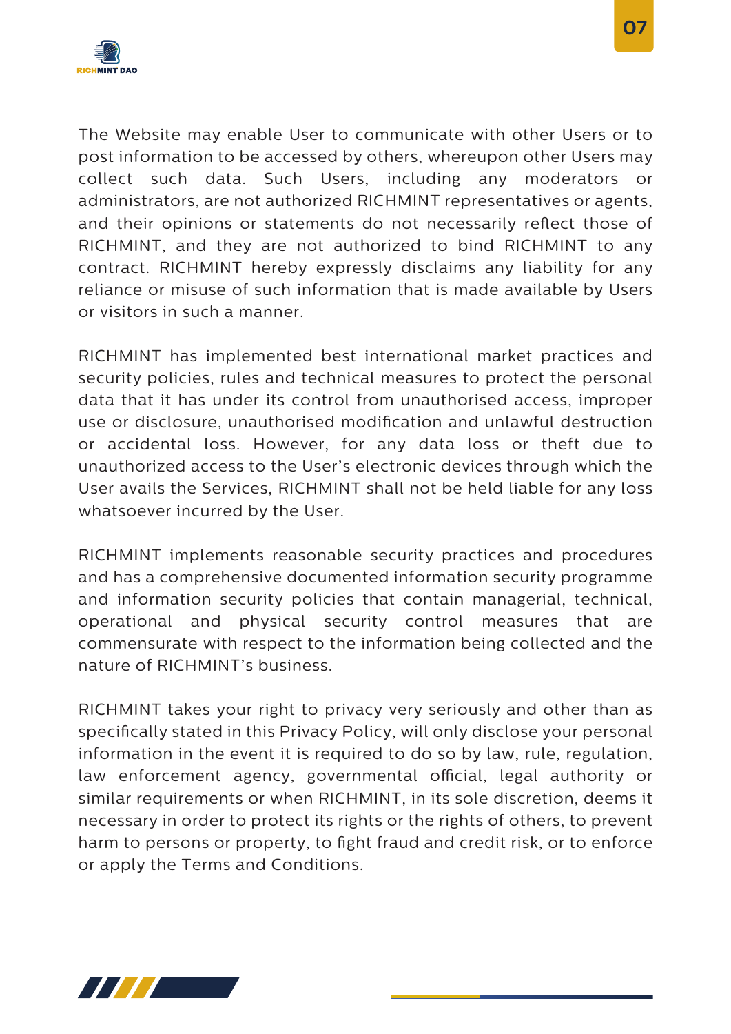

The Website may enable User to communicate with other Users or to post information to be accessed by others, whereupon other Users may collect such data. Such Users, including any moderators or administrators, are not authorized RICHMINT representatives or agents, and their opinions or statements do not necessarily reflect those of RICHMINT, and they are not authorized to bind RICHMINT to any contract. RICHMINT hereby expressly disclaims any liability for any reliance or misuse of such information that is made available by Users or visitors in such a manner.

RICHMINT has implemented best international market practices and security policies, rules and technical measures to protect the personal data that it has under its control from unauthorised access, improper use or disclosure, unauthorised modification and unlawful destruction or accidental loss. However, for any data loss or theft due to unauthorized access to the User's electronic devices through which the User avails the Services, RICHMINT shall not be held liable for any loss whatsoever incurred by the User.

RICHMINT implements reasonable security practices and procedures and has a comprehensive documented information security programme and information security policies that contain managerial, technical, operational and physical security control measures that are commensurate with respect to the information being collected and the nature of RICHMINT's business.

RICHMINT takes your right to privacy very seriously and other than as specifically stated in this Privacy Policy, will only disclose your personal information in the event it is required to do so by law, rule, regulation, law enforcement agency, governmental official, legal authority or similar requirements or when RICHMINT, in its sole discretion, deems it necessary in order to protect its rights or the rights of others, to prevent harm to persons or property, to fight fraud and credit risk, or to enforce or apply the Terms and Conditions.



 **07**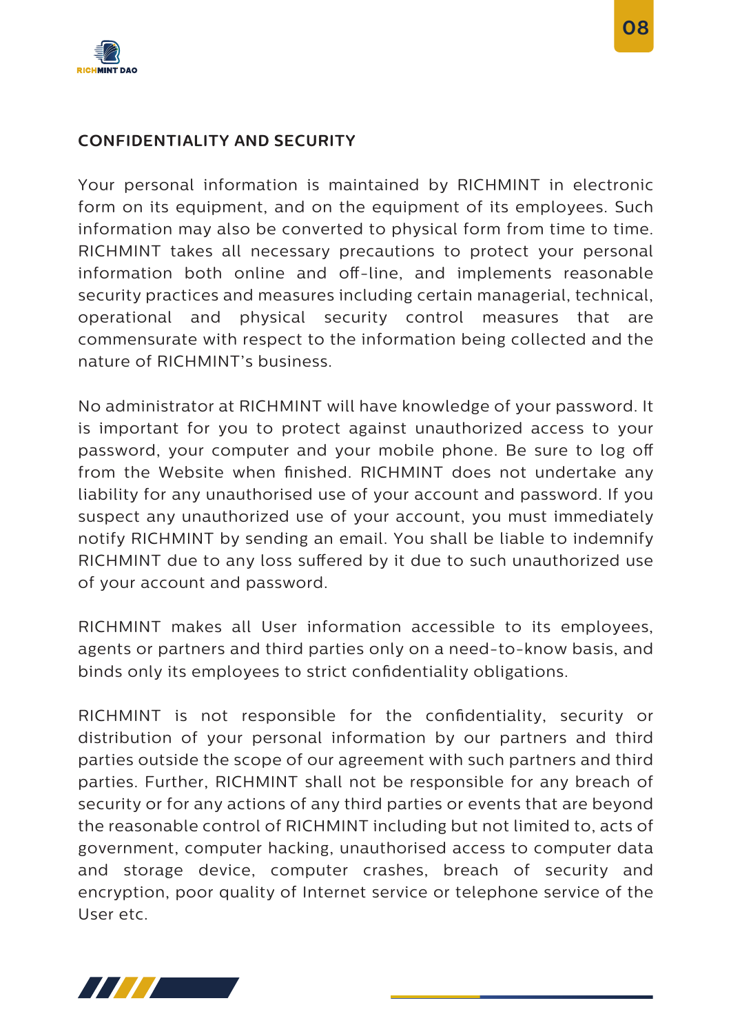

Your personal information is maintained by RICHMINT in electronic form on its equipment, and on the equipment of its employees. Such information may also be converted to physical form from time to time. RICHMINT takes all necessary precautions to protect your personal information both online and off-line, and implements reasonable security practices and measures including certain managerial, technical, operational and physical security control measures that are commensurate with respect to the information being collected and the nature of RICHMINT's business.

No administrator at RICHMINT will have knowledge of your password. It is important for you to protect against unauthorized access to your password, your computer and your mobile phone. Be sure to log o from the Website when finished. RICHMINT does not undertake any liability for any unauthorised use of your account and password. If you suspect any unauthorized use of your account, you must immediately notify RICHMINT by sending an email. You shall be liable to indemnify RICHMINT due to any loss suffered by it due to such unauthorized use of your account and password.

RICHMINT makes all User information accessible to its employees, agents or partners and third parties only on a need-to-know basis, and binds only its employees to strict confidentiality obligations.

RICHMINT is not responsible for the confidentiality, security or distribution of your personal information by our partners and third parties outside the scope of our agreement with such partners and third parties. Further, RICHMINT shall not be responsible for any breach of security or for any actions of any third parties or events that are beyond the reasonable control of RICHMINT including but not limited to, acts of government, computer hacking, unauthorised access to computer data and storage device, computer crashes, breach of security and encryption, poor quality of Internet service or telephone service of the User etc.

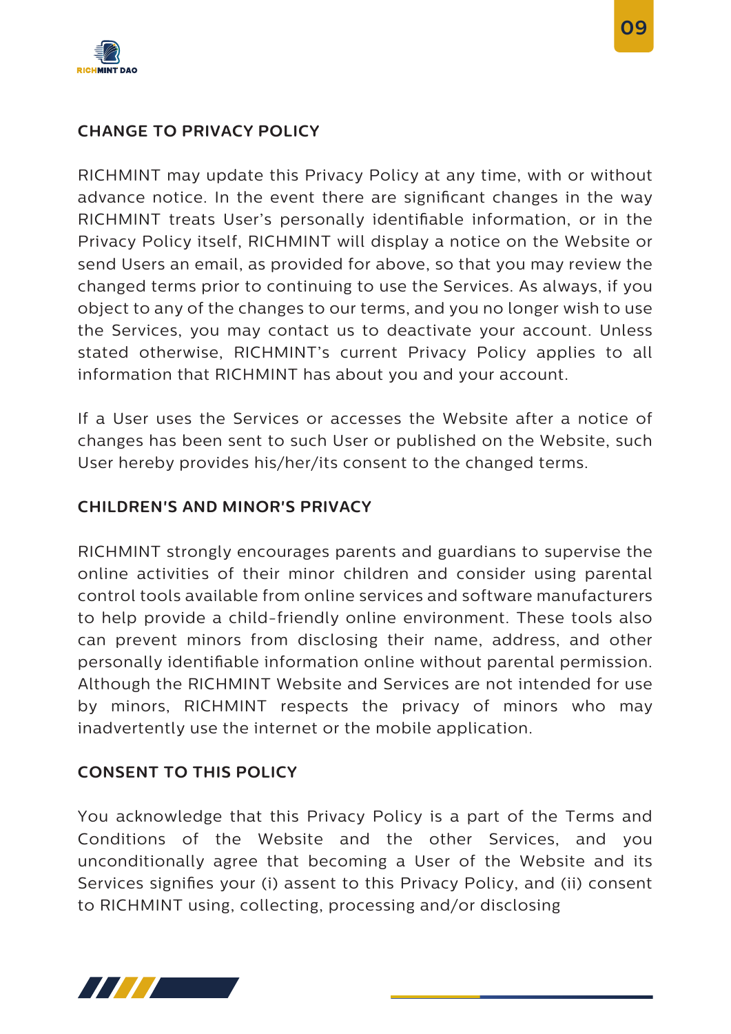

RICHMINT may update this Privacy Policy at any time, with or without advance notice. In the event there are significant changes in the way RICHMINT treats User's personally identifiable information, or in the Privacy Policy itself, RICHMINT will display a notice on the Website or send Users an email, as provided for above, so that you may review the changed terms prior to continuing to use the Services. As always, if you object to any of the changes to our terms, and you no longer wish to use the Services, you may contact us to deactivate your account. Unless stated otherwise, RICHMINT's current Privacy Policy applies to all information that RICHMINT has about you and your account.

If a User uses the Services or accesses the Website after a notice of changes has been sent to such User or published on the Website, such User hereby provides his/her/its consent to the changed terms.

# **CHILDREN'S AND MINOR'S PRIVACY**

RICHMINT strongly encourages parents and guardians to supervise the online activities of their minor children and consider using parental control tools available from online services and software manufacturers to help provide a child-friendly online environment. These tools also can prevent minors from disclosing their name, address, and other personally identiable information online without parental permission. Although the RICHMINT Website and Services are not intended for use by minors, RICHMINT respects the privacy of minors who may inadvertently use the internet or the mobile application.

# **CONSENT TO THIS POLICY**

You acknowledge that this Privacy Policy is a part of the Terms and Conditions of the Website and the other Services, and you unconditionally agree that becoming a User of the Website and its Services signifies your (i) assent to this Privacy Policy, and (ii) consent to RICHMINT using, collecting, processing and/or disclosing